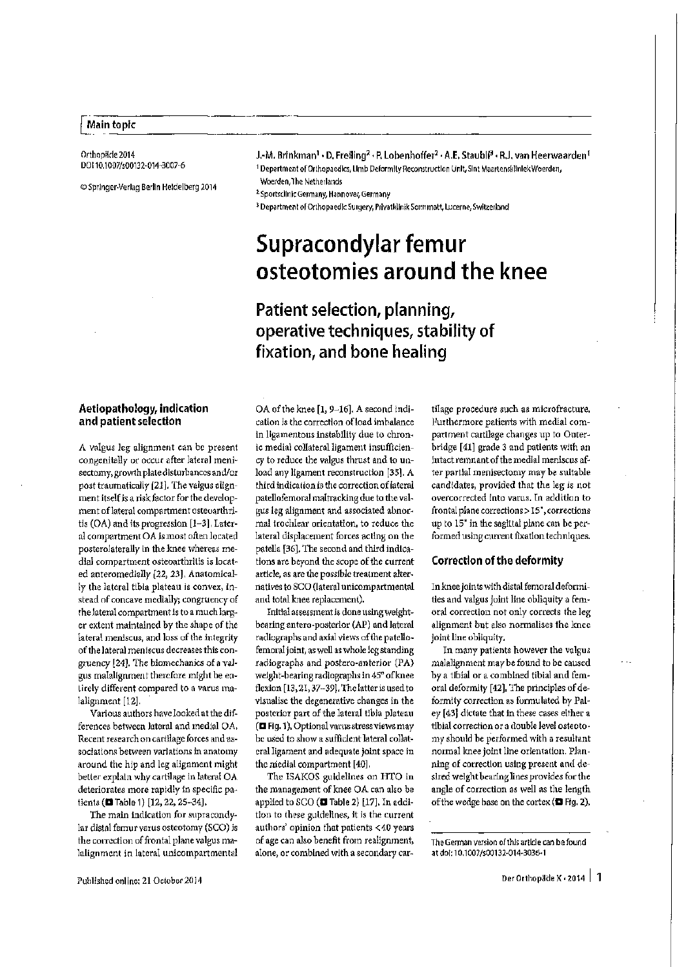Orthopäde 2014 DOI 10,1007/s00132-014-3007-6

©Sprlnger-Verlag Berlin Heidelberg 2014

**Aetiopathology, indication and patient selection** 

A valgus leg alignment can be present congenitally or occur after lateral menisectomy, growth plate disturbances and/or post traumatically [21], The valgus alignment itself is a risk factor for the development of lateral compartment osteoarthritis (OA) and its progression [1-3], Lateral compartment OA is most often located posterolaterally In the knee whereas medial compartment osteoarthritis is located anteromedially [22, 23], Anatomically the lateral tibia plateau is convex, instead of concave medially; congruency of the lateral compartment is to a much larger extent maintained by the shape of the lateral meniscus, and loss of the integrity of the lateral meniscus decreases this congruency [24], The biomechanics of a valgus malalignment therefore might be entirely different compared to a varus malalignment [12],

Various authors have looked at the differences between lateral and medial OA, Recent research on cartilage forces and associations between variations in anatomy around the hip and leg alignment might better explain why cartilage in lateral OA deteriorates more rapidly in specific patients (**a** Table 1) [12, 22, 25-34],

The main indication for supracondylar distal femur varus osteotomy (SCO) is the correction of frontal plane valgus malalignment in lateral unicompartmental **J.-M, Brinkman' • D. Frelling^ • P. Lobenhoffer^ • A.E, Staubli' • RJ. van Heerwaarden'**  <sup>1</sup> Department of Orthopaedics, Limb Deformity Reconstruction Unit, Sint Maartenskilniek Woerden,

Woerden,7he Netherlands

<sup>2</sup> Sportsclinic Germany, Hannover, Germany

<sup>3</sup> Department of Orthopaedic Surgery, Privatklinik Sonnmatt, Lucerne, Switzerland

# **Supracondylar femur osteotomies around the knee**

Patient selection, planning, operative techniques, stability of fixation, and bone healing

OA of the knee [1, 9-16], A second indication is the correction of load imbalance in ligamentous instability due to chronic medial collateral ligament insufficiency to reduce the valgus thrust and to unload any ligament reconstruction [35]. A third indication is the correction of lateral patellofemoral maltracking due to the valgus leg alignment and associated abnormal trochlear orientation, to reduce the lateral displacement forces acting on the patella [36]. The second and third indications are beyond the scope of the current article, as are the possible treatment alternatives to SCO (lateral unicompartmental and total knee replacement).

Initial assessment is done using weightbearing antero-posterior (AP) and lateral radiographs and axial views of the patellofemoral joint, as well as whole leg standing radiographs and postero-anterior (PA) weight-bearing radiographs in 45° of knee flexion [13,21,37-39], The latter is used to visualise the degenerative changes in the posterior part of the lateral tibia plateau (D Fig, 1). Optional varus stress views may be used to show a sufficient lateral collateral ligament and adequate joint space in the medial compartment [40],

The ISAKOS guidelines on HTO in the management of knee OA can also be applied to SCO  $(D$  Table 2) [17], In addition to these guidelines, it is the current authors' opinion that patients <40 years of age can also benefit from realigrmaent, alone, or combined with a secondary car-

tilage procedure such as microfracture. Furthermore patients with medial compartment cartilage changes up to Outerbridge [41] grade 3 and patients with an intact remnant of the medial meniscus after partial menisectomy may be suitable candidates, provided that the leg is not overcorrected into varus. In addition to frontal plane corrections > 15', corrections up to 15° in the sagittal plane can be performed using current fixation techniques,

#### **Correction of the deformity**

In knee joints with distal femoral deformities and valgus joint line obliquity a femoral correction not only corrects the leg alignment but also normalises the knee joint line obliquity.

In many patients however the valgus malalignment may be found to be caused by a tibial or a combined tibial and femoral deformity [42], The principles of deformity correction as formulated by Paley [43] dictate that in these cases either a tibial correction or a double level osteotomy should be performed with a resultant normal knee joint line orientation. Planning of correction using present and desired weight bearing lines provides for the angle of correction as well as the length of the wedge base on the cortex (D Fig. 2),

The German version of this article can be found at doi; 10.1007/S00132-014-3036-1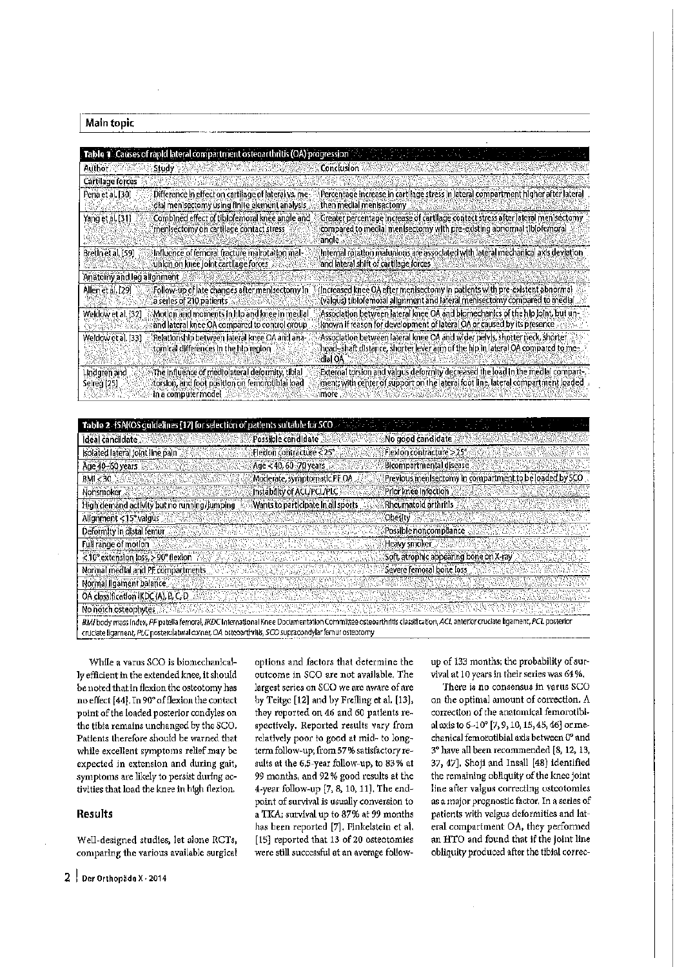|                                    | <b>Table 1</b> Causes of rapid lateral compartment osteoarthritis (OA) progression                                        |                                                                                                                                                                              |
|------------------------------------|---------------------------------------------------------------------------------------------------------------------------|------------------------------------------------------------------------------------------------------------------------------------------------------------------------------|
| Author                             | Study                                                                                                                     | <b>Conclusion</b>                                                                                                                                                            |
| Cartilage forces                   |                                                                                                                           |                                                                                                                                                                              |
| Pena et al. [30]                   | Difference in effect on cartilage of lateral vs. me-<br>dial menisectomy using finite element analysis                    | Percentage Increase in cartilage stress in lateral compartment higher after lateral<br>then medial menisectomy                                                               |
| Yang et al. [31]                   | Combined effect of tibiofemoral knee angle and<br>menisectomy on cartilage contact stress                                 | Greater percentage increase of cartilage contact stress after lateral menisectomy<br>compared to medial menisectomy with pre-existing abnormal tibiofemoral<br>angle         |
| Bretin et al. [59]                 | Influence of femoral fracture malrotation mal-<br>union on knee Joint cartilage forces.                                   | Internal rotation maiunions are associated with lateral mechanical axis deviation<br>and lateral shift of cartilage forces                                                   |
| Anatomy and leg alignment          |                                                                                                                           |                                                                                                                                                                              |
| Allen et al. [29]                  | Follow-up of late changes after menisectomy in<br>a series of 210 patients.                                               | Increased knee OA after menisectomy in patients with pre-existent abnormal<br>(valgus) tiblofemoral alignment and lateral menisectomy compared to medial                     |
| Weldow et al. [32]                 | Motion and moments in hip and knee in medial<br>and lateral knee OA compared to control group                             | Association between lateral knee OA and biomechanics of the hip joint, but un-<br>known if reason for development of lateral OA or caused by its presence                    |
| Weldow et al. [33]                 | Relationship between lateral knee OA and ana-<br>tomical differences in the hip region                                    | Association between lateral knee OA and wider pelvis, shorter neck, shorter<br>head-shaft distance, shorter lever arm of the hip in lateral OA compared to me-<br>dial OA    |
| <b>Lindgren</b> and<br>Seireg [25] | The influence of mediolateral deformity, tibial<br>torsion, and foot position on femorotibial load<br>in a computer model | External torsion and valgus deformity decreased the load in the medial compart-<br>ment; with center of support on the lateral foot line, lateral compartment loaded<br>more |

| Table 2 ISAKOS guidelines [17] for selection of patients suitable for SCO                          |                                    | [전쟁 ] 오래 아이는 말이 봐.                                                                                                                                                    |  |  |
|----------------------------------------------------------------------------------------------------|------------------------------------|-----------------------------------------------------------------------------------------------------------------------------------------------------------------------|--|--|
| Ideal candidate                                                                                    | Possible candidate                 | No good candidate                                                                                                                                                     |  |  |
| Isolated lateral Joint line pain                                                                   | Flexion contracture <25°           | Flexion contracture > 25°                                                                                                                                             |  |  |
| Age 40-60 years                                                                                    | Age < 40, 60-70 years              | <b>Bicompartmental disease</b>                                                                                                                                        |  |  |
| BM < 30                                                                                            | Moderate, symptomatic PF OA        | Previous menisectomy in compartment to be loaded by SCO                                                                                                               |  |  |
| Nonsmoker                                                                                          | Instability of ACL/PCL/PLC         | Prior knee Infection                                                                                                                                                  |  |  |
| High demand activity but no running/jumping                                                        | Wants to participate in all sports | Rheumatold arthritis                                                                                                                                                  |  |  |
| Alignment <15° valgus                                                                              |                                    | Obesity                                                                                                                                                               |  |  |
| Deformity in distal femur                                                                          |                                    | Possible noncompliance and a control of                                                                                                                               |  |  |
| Full range of motion                                                                               |                                    | Heavy smoker                                                                                                                                                          |  |  |
| <10° extension loss, >90° flexion                                                                  |                                    | Soft, atrophic appearing bone on X-ray                                                                                                                                |  |  |
| Normal medial and PF compartments                                                                  |                                    | Severe femoral bone loss                                                                                                                                              |  |  |
| Normal ligament balance.                                                                           |                                    |                                                                                                                                                                       |  |  |
| OA classification IKDC (A), B, C, D                                                                |                                    |                                                                                                                                                                       |  |  |
| No notch osteophytes                                                                               |                                    |                                                                                                                                                                       |  |  |
|                                                                                                    |                                    | BMI body mass Index, PF patella femoral, IKDC International Knee Documentation Committee osteoarthritis classification, ACL anterior cruciate ligament, PCL posterior |  |  |
| cruciate ligarment, PLC posterolateral comer, OA osteoarthritis, SCO supracondylar femur osteotomy |                                    |                                                                                                                                                                       |  |  |

While a varus SCO is biomechanically efficient in the extended knee, it should be noted that in flexion the osteotomy has no effect [44], In 90° of flexion the contact point of the loaded posterior condyles on the tibia remains unchanged bythe SCO, Patients therefore should be warned that while excellent symptoms relief may be expected in extension and during gait, symptoms are likely to persist during activities that load the knee in high flexion.

## **Results**

Well-designed studies, let alone RCTs, comparing the various available surgical

options and factors that determine the outcome in SCO are not available. The largest series on SCO we are aware of are by Teitge [12] and by Freiling et al, [13], they reported on 46 and 60 patients respectively. Reported results vary from relatively poor to good at mid- to longterm follow-up; from 57 % satisfactory results at the 6.5-year follow-up, to 83 % at 99 months, and 92 % good results at the 4-year follow-up [7, 8,10,11]. The endpoint of survival is usually conversion to a TKA; survival up to 87% at 99 months has been reported [7], Finkelstein et al, [15] reported that 13 of 20 osteotomies were still successful at an average followup of 133 months; the probability of survival at 10 years in their series was 64%.

There is no consensus in varus SCO on the optimal amount of correction, A correction of the anatomical femorotibial axis to 6-10° [7,9,10,15,45,46] or mechanical femorotibial axis between 0° and 3° have all been recommended [8,12,13, 37, 47]. Shoji and Insall [48] identified the remaining obliquity of the knee joint line after valgus correcting osteotomies as a major prognostic factor. In a series of patients with valgus deformities and lateral compartment OA, they performed an HTO and found that if the joint line obliquity produced after the tibial correc-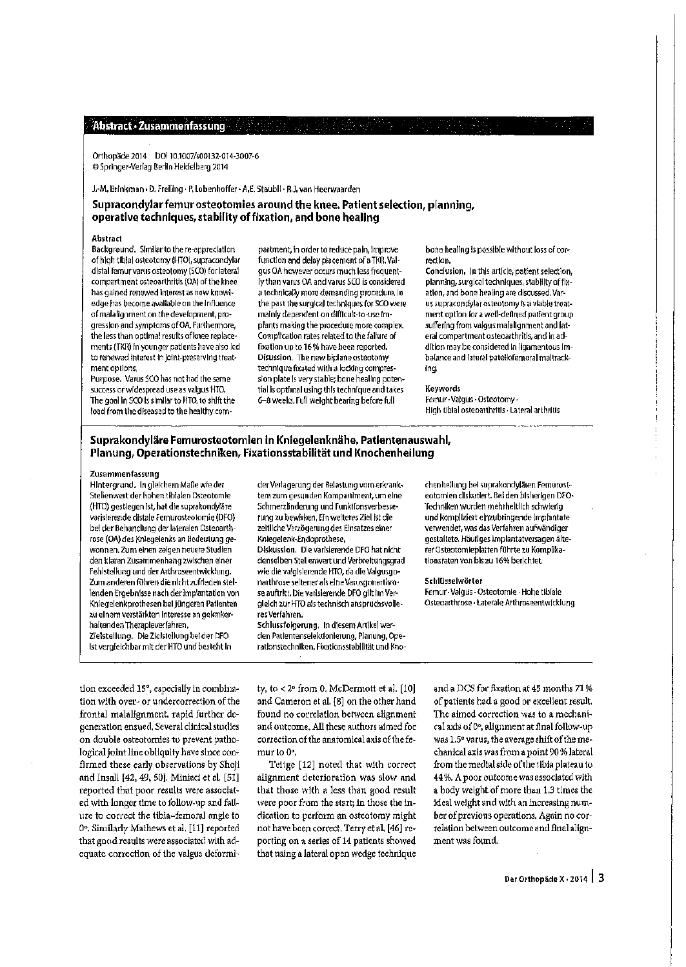#### **Abstract • Zusammenfassung**

Orthopade 20H DOl 10.1007/s00132-014-3007-6 ©Sprlnger-Verlag Berlin Heidelberg 2014

#### J,-M. Brinkman • D. Frelling • P, Lobenhoffer • A.E, Staubli • R,J. van Heerwaarden

## **Supracondylar femur osteotomies around the knee. Patient selection, planning, operative techniques, stability of fixation, and bone healing**

#### Abstract

Background, Similar to the re-appreclatlon of high tibial osteotomy (HTO), supracondylar distal femur varus osteotomy (SCO) for lateral compartment osteoarthritis (OA) of the knee has gained renewed Interest as new knowledge has become available on the Influence of malalignment on the development, progression and symptoms of OA, Furthermore, the less than optimal results of knee replacements (TKR) In younger patients have also led to renewed Interest In Joint-preserving treatment options.

Purpose, Varus SCO has not had the same success or widespread use as valgus HTO. The goal In SCO Is similar to HTO, to shift the load from the diseased to the healthy com-

partment, In order to reduce pain, Improve function and delay placement of aTKR, Valgus OA however occurs much less frequently than varus OA and varus SCO Is considered a technically more demanding procedure. In the past the surgical techniques for SCO were mainly dependent on difficult-to-use Implants making the procedure more complex. Complication rates related to the failure of fixation up to 16 % have been reported, DIsussion, The new biplane osteotomy technique fixated with a locking compression plate Is very stable; bone healing potential is optimal using this technique and takes 6-8 weeks. Full weight bearing before full

bone healing Is possible without loss of correction.

Conclusion. In this article, patient selection, planning, surgical techniques, stability of fixation, and bone healing are discussed. Varus supracondylar osteotomy Is a viable treatment option for a well-defined patient group suffering from valgus malalignment and lateral compartment osteoarthritis, and In addition may be considered In ligamentous Imbalance and lateral patellofemoral maltracking.

#### Keywords

Femur 'Valgus • Osteotomy • High tibial osteoarthritis • Lateral arthritis

## **Suprakondylare Femurosteotomien in Kniegelenknëhe. Patientenauswahl, Planung, Operationstechniken, Fixationsstabilitat und Knochenheilung**

#### Zusammenfassung

HIntergrund, In glelchem MaSe wie der Stellenwert der hohen tiblalen Osteotomie (HTO) gestlegen 1st, hat die suprakondylare varisierende distale Femurosteotomie (DFO) bel der Behandlung der lateralen Osteoarthrose (OA) des Kniegelenks an Bedeutung gewonnen, Zum einen zelgen neuere Studlen den klaren Zusammenhang zwlschen einer Fehlstellung und der Arthroseentwicklung, Zum anderen führen die nlchtzufrleden stellenden Ergebnisse nach der Implantation von Kniegelenkprothesen bel Jüngeren Patiënten zu einem verstärkten Interesse an gelenkerhaltenden Therapleverfahren,

ZIelstellung, Die ZIelstellung bel der DFO 1st vergleichbar mit der HTO und besteht In der Verlagerung der Belastung vom erkranktem zum gesunden Kompartiment, um eine Schmerzlinderung und Funktlonsverbesserung zu bewirken, Ein welteres Zlel 1st die zeltllche Verzögerung des Elnsatzes einer Kniegelenk-Endoprothese, Diskussion, Die varisierende DFO hat nlcht denselben Stellenwert und Verbreltungsgrad wie die valglslerende HTO, da dleValgusgonarthrose seltener als eine Varusgonarthrose auftritt. Die varisierende DFO gilt Im Vergleich zur HTO als technisch anspruchsvolleres Verfahren,

Schlussfolgerung. In diesem Artikel werden Patlentenselektlonlerung, Planung, Operationstechniken, Fixationsstabilitat und Kno-

chenheilung bel suprakondylaren Femurosteotomien diskutlert. Bel den bisherigen DFO-Technlken wurden mehrheitllch schwierig und kompliziert einzubringende Implantate verwendet, was das Verfahren aufwandlger gestaltete, Hauflges Implantatversagen altererOsteotomleplatten führtezu Kompllkationsraten von bIszu 16% berichtet,

#### Schiüsselwörter

Femur 'Valgus' Osteotomie • Hohe tibiale Osteoarthrose • Laterale Arthroseentwicklung

tion exceeded 15°, especially in combination with over- or undercorrection of the frontal malalignment, rapid further degeneration ensued. Several clinical studies on double osteotomies to prevent pathological joint line obliquity have since confirmed these early observations by Shoji and Insall [42, 49, 50], Miniad et al, [51] reported that poor results were associated with longer time to follow-up and failure to correct the tibia-femoral angle to 0°, Simüarly Mathews et al, [11] reported that good results were associated with adequate correction of the valgus deformity, to <2° from 0. McDermott et al, [10] and Cameron et al. [8] on the other hand found no correlation between alignment and outcome. All these authors aimed for correction of the anatomical axis of the femur to 0°,

Teitge [12] noted that with correct alignment deterioration was slow and that those with a less than good result were poor from the start; in those the indication to perform an osteotomy might not have been correct, Terry etal, [46] reporting on a series of 14 patients showed that using a lateral open wedge technique

and a DCS for flxation at 45 months 71 % of patients had a good or excellent result. The aimed correction was to a mechanical axis of 0°, alignment at final follow-up was 1.5° varus, the average shift of the mechanical axis was from a point 90 % lateral from the medial side of the tibia plateau to 44 %, A poor outcome was associated with a body weight of more than 1,3 times the ideal weight and with an increasing number of previous operations. Again no correlation between outcome and final alignment was found.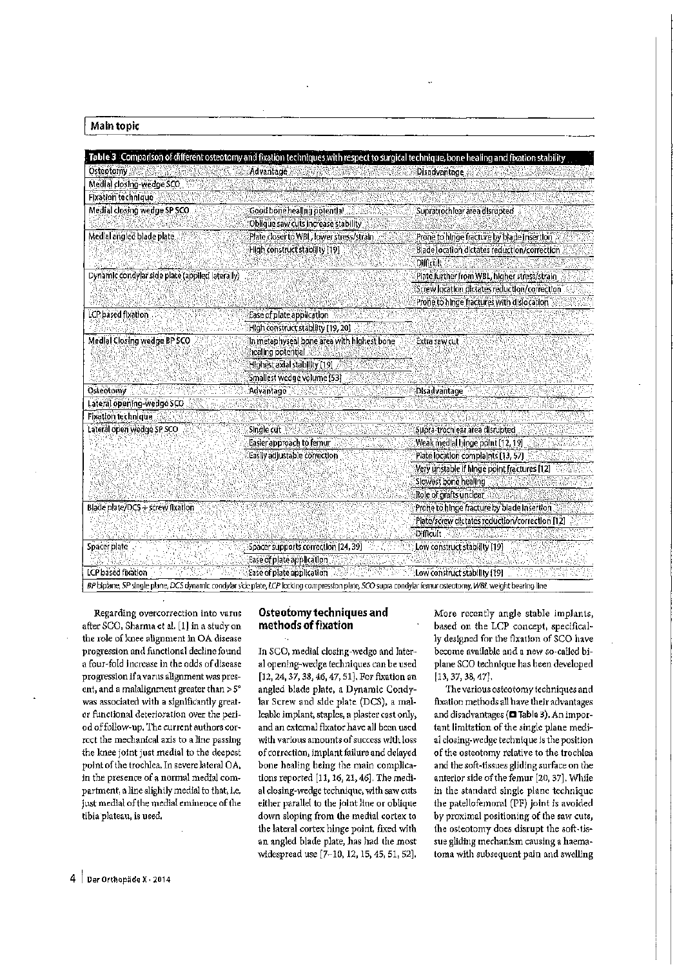|                                                 |                                                                                                                                                          | Table 3 Comparison of different osteotomy and fixation techniques with respect to surgical technique, bone healing and fixation stability |
|-------------------------------------------------|----------------------------------------------------------------------------------------------------------------------------------------------------------|-------------------------------------------------------------------------------------------------------------------------------------------|
| Osteotomy                                       | Advantage                                                                                                                                                | <b>Disadvantage</b>                                                                                                                       |
| Medial closing-wedge SCO                        |                                                                                                                                                          |                                                                                                                                           |
| <b>Fixation technique</b>                       |                                                                                                                                                          |                                                                                                                                           |
| Medial closing wedge SP SCO                     | Good bone healing potential                                                                                                                              | Supratrochlear area disrupted                                                                                                             |
|                                                 | Oblique saw cuts increase stability                                                                                                                      |                                                                                                                                           |
| Medial angled blade plate                       | Plate closer to WBL, lower stress/strain                                                                                                                 | Prone to hinge fracture by blade insertion.                                                                                               |
|                                                 | High construct stability [19]                                                                                                                            | Blade location dictates reduction/correction                                                                                              |
|                                                 |                                                                                                                                                          | <b>Difficult</b>                                                                                                                          |
| Dynamic condylar side plate (applied laterally) |                                                                                                                                                          | Plate further from WBL, higher stress/strain                                                                                              |
|                                                 |                                                                                                                                                          | Screw location dictates reduction/correction                                                                                              |
|                                                 |                                                                                                                                                          | Prone to hinge fractures with dislocation                                                                                                 |
| LCP based fixation                              | Ease of plate application                                                                                                                                |                                                                                                                                           |
|                                                 | High construct stability [19, 20]                                                                                                                        |                                                                                                                                           |
| Medial Closing wedge BP SCO                     | In metaphyseal bone area with highest bone<br>healing potential                                                                                          | Extra saw cut                                                                                                                             |
|                                                 | Highest axial stability [19]                                                                                                                             |                                                                                                                                           |
|                                                 | Smallest wedge volume (53)                                                                                                                               |                                                                                                                                           |
| Osteotomy                                       | Advantage                                                                                                                                                | <b>Disadvantage</b>                                                                                                                       |
| Lateral opening-wedge SCO                       |                                                                                                                                                          |                                                                                                                                           |
| <b>Fixation technique</b>                       |                                                                                                                                                          |                                                                                                                                           |
| Lateral open wedge SP SCO                       | Single cut                                                                                                                                               | Supra-trochlear area disrupted                                                                                                            |
|                                                 | Easler approach to femur                                                                                                                                 | Weak medial hinge point [12, 19]                                                                                                          |
|                                                 | Easily adjustable correction                                                                                                                             | Plate location complaints [13, 57]                                                                                                        |
|                                                 |                                                                                                                                                          | Very unstable if hinge point fractures [12]                                                                                               |
|                                                 |                                                                                                                                                          | Slowest bone healing                                                                                                                      |
|                                                 |                                                                                                                                                          | Role of orafts unclear                                                                                                                    |
| Blade plate/DCS + screw fixation                |                                                                                                                                                          | Prone to hinge fracture by blade insertion                                                                                                |
|                                                 |                                                                                                                                                          | Plate/screw dictates reduction/correction [12]                                                                                            |
|                                                 |                                                                                                                                                          | <b>Difficult</b>                                                                                                                          |
| Spacer plate                                    | Spacer supports correction [24, 39]                                                                                                                      | Low construct stability [19]                                                                                                              |
|                                                 | Ease of plate application                                                                                                                                |                                                                                                                                           |
| LCP based fixation                              | Ease of plate application                                                                                                                                | Low construct stability [19]                                                                                                              |
|                                                 | BP biplane, SP single plane, DCS dynamic condylar side plate, LCP locking compression plate, SCO supra condylar (emur osteotomy, WBL weight bearing line |                                                                                                                                           |

Regarding overcorrection into varus after SCO, Sharma et al. [1] in a study on the role of knee alignment in OA disease progression and functional decline found a four-fold increase in the odds of disease progression if a varus alignment was present, and a malalignment greater than  $>5^{\circ}$ was associated with a significantly greater functional deterioration over the period of follow-up, The current authors correct the mechanical axis to a line passing the knee joint just medial to the deepest point of the trochlea, In severe lateral OA, in the presence of a normal medial compartment, a line slightly medial to that, i.e, just medial of the medial eminence of the tibia plateau, is used.

## **Osteotomy techniques and methods of fixation**

In SCO, medial closing-wedge and lateral opening-wedge techniques can be used [12, 24, 37, 38, 46, 47, 51]. For fixation an angled blade plate, a Dynamic Condylar Screw and side plate (DCS), a malleable implant, staples, a plaster cast only, and an external fixator have all been used with various amounts of success with loss of correction, implant failure and delayed bone healing being the main complications reported [11,16,21,46], The medial closing-wedge technique, with saw cuts either parallel to the joint line or oblique down sloping from the medial cortex to the lateral cortex hinge point, fixed with an angled blade plate, has had the most widespread use [7-10,12,15,45, 51, 52],

More recently angle stable implants, based on the LCP concept, specifically designed for the fixation of SCO have become available and a new so-called biplane SCO technique has been developed [13,37, 38,47],

The various osteotomy techniques and flxation methods all have their advantages and disadvantages (D **Table** 3). A n important limitation of the single plane medial closing-wedge technique is the position of the osteotomy relative to the trochlea and the soft-tissues gliding surface on the anterior side of the femur [20, 37], While in the standard single plane technique the patellofemoral (PF) joint Is avoided by proximal positioning of the saw cuts, the osteotomy does disrupt the soft-tissue gliding mechanism causing a haematoma with subsequent pain and swelling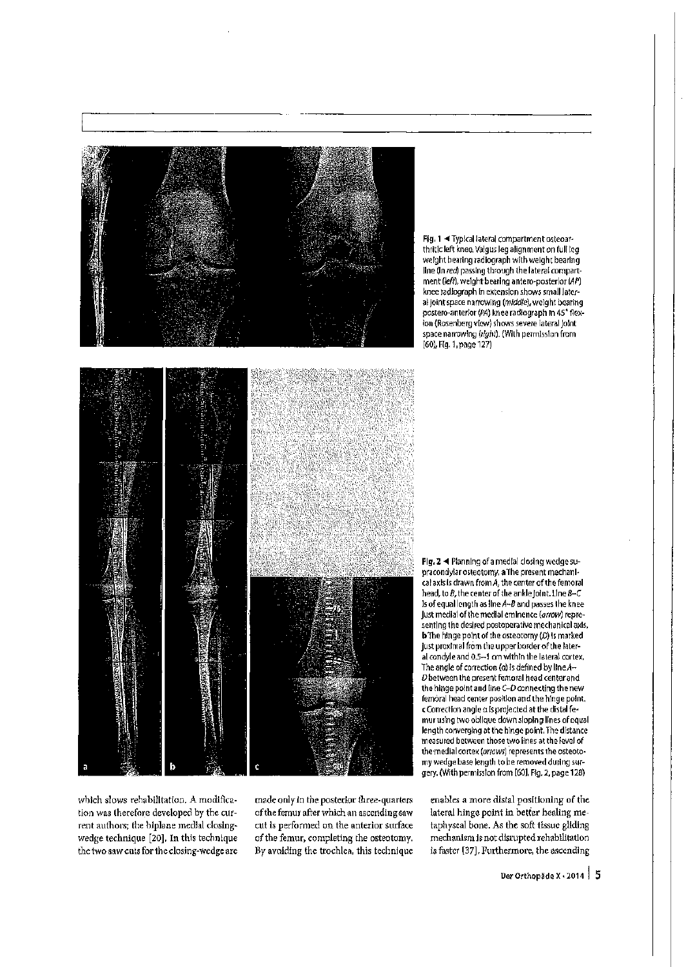

Fig. 1 < Typical lateral compartment osteoarthritic left knee, Valgus leg alignment on full leg weight bearing radiograph with weight bearing line (in red) passing through the lateral compartment (left), weight bearing antero-posterior {AP) knee radiograph In extension shows small lateral Joint space narrowing (middle), weight bearing postero-anterior {PA) knee radiograph In 45' flex-.<br>Ion (Rosenberg view) shows severe lateral Joint space narrowing (right). (With permission from [60], Fig. 1, page 127)



Fig.  $2 \triangleleft$  Planning of a medial closing wedge supracondylar osteotomy, aThe present mechanical axis is drawn from A, the center of the femoral head, to  $B$ , the center of the ankle joint. Line  $B - C$ Is of equal length as  $\ln A \rightarrow B$  and passes the knee Just medial of the medial eminence {arrow) representing the desired postoperative mechanical axis, **b** The hinge point of the osteotomy (D) is marked Just proximal from the upper border ofthe lateral condyle and 0,5-1 cm within the lateral cortex. The angle of correction ( $a$ ) is defined by line  $A-$ Dbetween the present femoral head centerand the hinge point and line C-D connecting the new femoral head center position and the hinge point, c Correction angle a Is projected atthe distal femur using two oblique down sloping lines of equal length converging at the hinge point. The distance measured between those two lines at the level of the medlal cortex {arrows) represents the osteotomy wedge base length to be removed during surgery, (With permission from [60], Fig, 2, page 128)

enables a more distal positioning of the lateral hinge point in better healing metaphyseal bone. As the soft tissue gliding mechanism is not disrupted rehabilitation is faster [37], Furthermore, the ascending

which slows rehabilitation, A modification was therefore developed by the current authors; the biplane medial closingwedge technique [20], In this technique the two saw cuts for the closing-wedge are made only in the posterior three-quarters of the femur after which an ascending saw cut Is performed on the anterior surface of the femur, completing the osteotomy. By avoiding the trochlea, this technique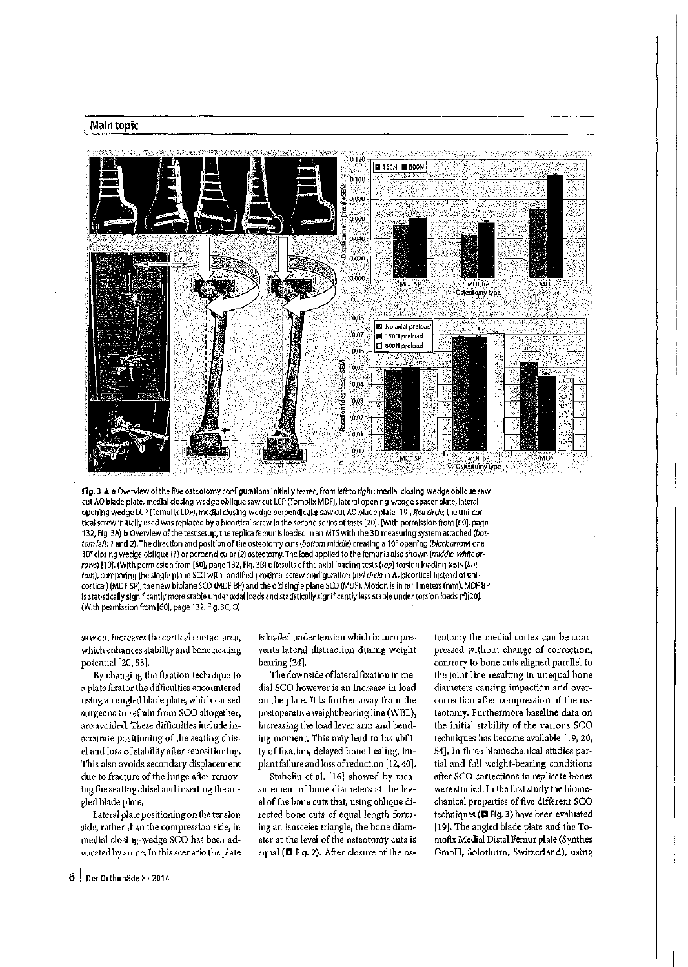

Fig, **3 A** a Overview of the five osteotomy configurations Initially tested, from fefr to right: medial closing-wedge oblique saw cut AO blade plate, medial closing-wedge oblique saw cut LCP (Tomofix MDF), lateral opening-wedge spacer plate, lateral opening wedge LCP (Tomofix LDF), medial closing-wedge perpendicular saw cut AO blade plate [19], Red circle: the uni-cortical screw Initially used was replaced by a bicortical screw in the second series of tests [20], (With permission from [60], page 132, Fig. 3 A) **b** Overview of the test setup, the replica femur Is loaded In an MTS with the 3D measuring system attached (bottom left; 1 and 2). The direction and position of the osteotomy cuts (bottom middle) creating a 10° opening (black arrow) or a 10° closing wedge oblique (/) or perpendicular (2) osteotomy.The load applied to the femur Is also shown (middle: white arrows) [19], (With permission from [60], page 132, Fig, 3B) **c** Results ofthe axial loading tests (fop) torsion loading tests (fcoftom), comparing the single plane SCO with modified proximal screw configuration (red circle in A, bicortical instead of unlcortlcal) (MDF SP), the new biplane SCO (MDF BP) and the old single plane SCO (MDF), Motion Is In millimeters (mm), MDF BP Is statistically significantly more stable under axial loads and statistically significantly less stable under torsion loads (\*)[201, (With permission from [60], page 132, Fig, 3C, D)

saw cut increases the cortical contact area, which enhances stability and bone healing potential [20,53],

By changing the fixation technique to a plate fixator the difficulties encountered using an angled blade plate, which caused surgeons to refrain from SCO altogether, are avoided. These difficulties include in accurate positioning of the seating chisel and loss of stability after repositioning. This also avoids secondary displacement due to fracture of the hinge after removing the seating chisel and inserting the angled blade plate.

Lateral plate positioning on the tension side, rather than the compression side, in medial closing-wedge SCO has been advocated by some. In this scenario the plate is loaded under tension which in turn prevents lateral distraction during weight bearing [24],

The downside of lateral fixation in medial SCO however is an increase in load on the plate. It is further away from the postoperative weight bearing line (WBL), increasing the load lever arm and bending moment. This may lead to Instability of fixation, delayed bone healing, im plant failure and loss of reduction [ 12,40].

Stahelin et al. [16] showed by measurement of bone diameters at the level of the bone cuts that, using oblique directed bone cuts of equal length forming an isosceles triangle, the bone diameter at the level of the osteotomy cuts is equal ( $\Box$  Fig. 2). After closure of the osteotomy the medial cortex can be compressed without change of correction, contrary to bone cuts aligned parallel to the joint line resulting in unequal bone diameters causing impaction and overcorrection after compression of the osteotomy. Furthermore baseline data on the initial stabihty of the various SCO techniques has become available [19, 20, 54]. In three biomechanical studies partial and full weight-bearing conditions after SCO corrections in replicate bones were studied. In the first study the biomechanical properties of five different SCO techniques (O **Fig. 3)** have been evaluated [19], The angled blade plate and the Tomofix Medial Distal Femur plate (Synthes GmbH; Solothurn, Switzerland), using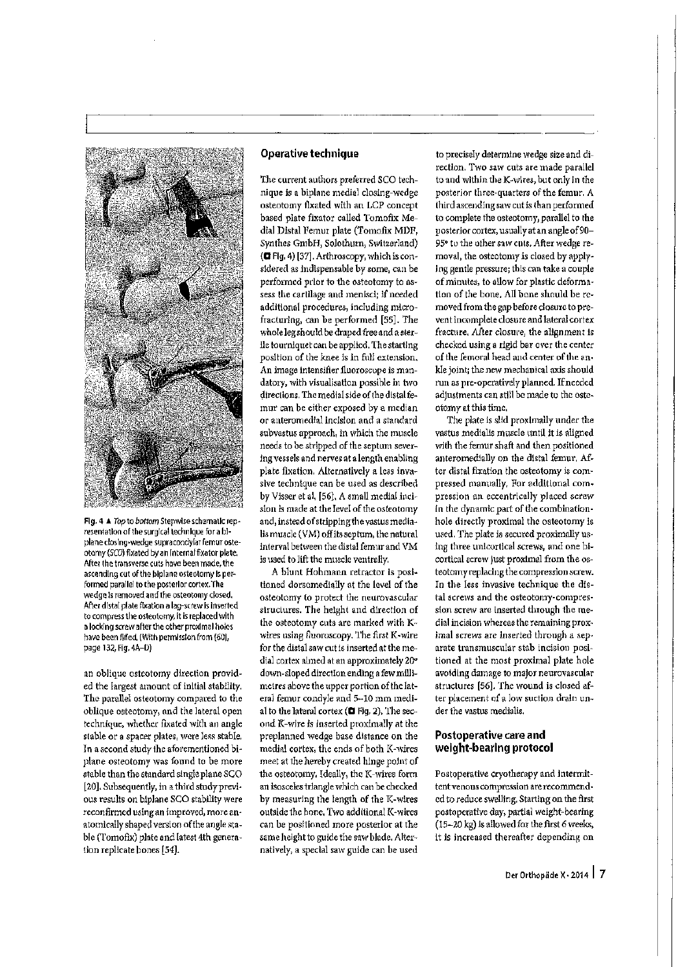

Fig. 4  $\blacktriangle$  Top to bottom Stepwise schematic representation of the surgical technique for a biplane closing-wedge supracondylar femur osteotomy (SCO) fixated by an Internal fixator plate. After the transverse cuts have been made, the ascending cut of the biplane osteotomy is performed parallel to the posterior cortex,The wedge Is removed and the osteotomy closed. After distal plate fixation a lag-screw Is Inserted to compress the osteotomy. It Is replaced with a locking screw after the other proximal holes have been filled, (With permission from [60], page 132, Flg,4A-D)

an oblique osteotomy direction provided the largest amount of initial stability. The parallel osteotomy compared to the oblique osteotomy, and the lateral open technique, whether fixated with an angle stable or a spacer plates, were less stable. In a second study the aforementioned biplane osteotomy was found to be more stable than the standard single plane SCO [20], Subsequently, in a third study previous results on biplane SCO stability were reconfirmed using an improved, more anatomically shaped version of the angle stable (Tomofix) plate and latest 4th generation replicate bones [54].

## **Operative technique**

The current authors preferred SCO technique Is a biplane medial closing-wedge osteotomy fixated with an LCP concept based plate fixator called Tomofix Me dial Distal Femur plate (Tomofix MDF, Synthes GmbH, Solothurn, Switzerland) (O **Fig,** 4) [37], Arthroscopy, which is considered as Indispensable by some, can be performed prior to the osteotomy to assess the cartilage and menisci; if needed additional procedures, including microfracturing, can be performed [55]. The whole leg should be draped free and a sterile tourniquet can be applied. The starting position of the knee is in full extension, An image intensifler fluoroscope is mandatory, with visualisation possible In two directions. The medial side of the distal femur can be either exposed by a median or anteromedial Incision and a standard subvastus approach. In which the muscle needs to be stripped of the septum severing vessels and nerves at a length enabling plate fixation. Alternatively a less invasive technique can be used as described by Visser et al, [56], A small medial incision is made at the level of the osteotomy and, instead of stripping the vastus medialis muscle (VM) off its septum, the natural interval between the distal femur and VM is used to lift the muscle ventrally,

A blunt Hohmann retractor is positioned dorsomedially at the level of the osteotomy to protect the neurovascular structures. The height and direction of the osteotomy cuts are marked with Kwires using fluoroscopy. The first K-wire for the distal saw cut is inserted at the medial cortex aimed at an approximately 20° down-sloped direction ending afew millimetres above the upper portion of the lateral femur condyle and 5-10 mm medial to the lateral cortex (D **Fig,** 2), The second K-wlre is inserted proxlmally at the preplanned wedge base distance on the medial cortex, the ends of both K-wires meet at the hereby created hinge point of the osteotomy. Ideally, the K-wires form an isosceles triangle which can be checked by measuring the length of the K-wires outside the bone. Two additional K-wires can be positioned more posterior at the same height to guide the saw blade. Alternatively, a special saw guide can be used

to precisely determine wedge size and direction, Two saw cuts are made parallel to and within the K-wires, but only in the posterior three-quarters of the femur, A third ascending saw cut is than performed to complete the osteotomy, parallel to the posterior cortex, usually at an angle of 90- 95° to the other saw cuts. After wedge removal, the osteotomy is closed by applying gentle pressure; this can take a couple of minutes, to allow for plastic deformation of the bone. All bone should be removed from the gap before closure to prevent incomplete closure and lateral cortex fracture. After closure, the alignment is checked using a rigid bar over the center of the femoral head and center of the ankle joint; the new mechanical axis should run as pre-operatively planned. If needed adjustments can still be made to the osteotomy at this time.

The plate is slid proxlmally under the vastus medialis muscle until it is aligned with the femur shaft and then positioned anteromedially on the distal femur. After distal flxation the osteotomy is compressed manually. For additional compression an eccentrically placed screw in the dynamic part of the combinationhole directly proximal the osteotomy is used, The plate is secured proximally using three unicortical screws, and one bicortical screw just proximal from the osteotomy replacing the compression screw. In the less invasive technique the distal screws and the osteotomy-compression screw are inserted through the medial incision whereas the remaining proximal screws are Inserted through a separate transmuscular stab incision positioned at the most proximal plate hole avoiding damage to major neurovascular structures [56], The wound is closed after placement of a low suction drain under the vastus medialis,

## **Postoperative care and weight-bearing protocol**

Postoperative cryotherapy and intermittent venous compression are recommended to reduce swelling. Starting on the first postoperative day, partial weight-bearing (15-20 kg) is allowed for the first 6 weeks, it is increased thereafter depending on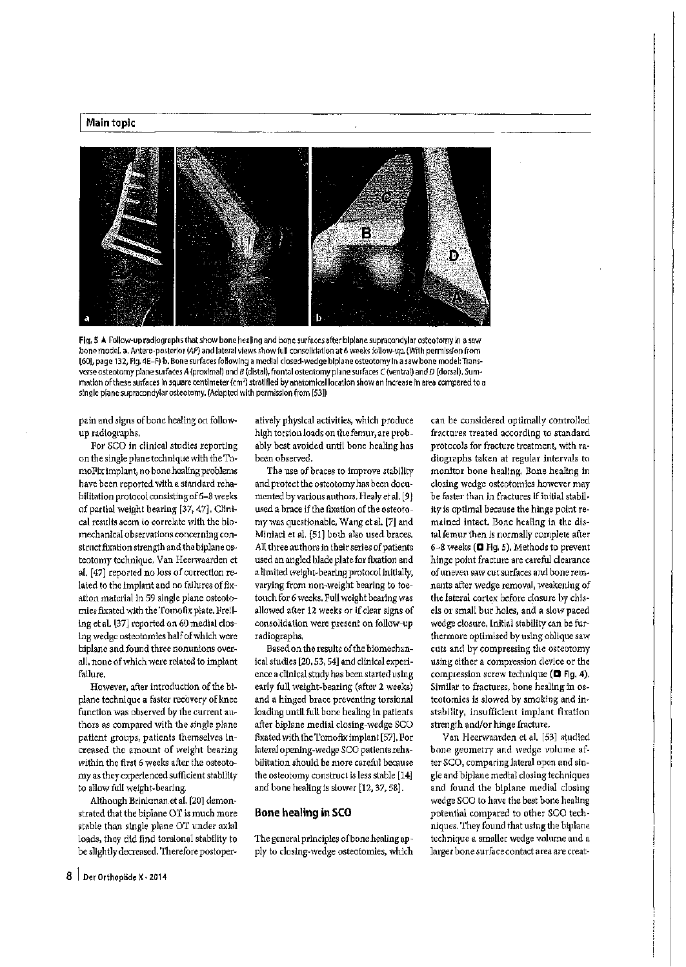

**Fig.** 5 **A** Follow-up radiographs that show bone healing and bone surfaces after biplane supracondylar osteotomy In a saw bone model, **a.** Antero-posterior MP) and lateral views show full consolidation at 6 weeks follow-up. (With permission from [60], page 132, Fig. 4E-F) b. Bone surfaces following a medial closed-wedge biplane osteotomy in a saw bone model: Transverse osteotomy plane surfaces A (proximal) and B (distal), frontal osteotomy plane surfaces C (ventral) and D (dorsal). Summation of these surfaces in square centimeter  $(cm^2)$  stratified by anatomical location show an increase in area compared to a single plane supracondylar osteotomy. (Adapted with permission from [53])

pain and signs of bone healing on followup radiographs.

For SCO in clinical studies reporting on the single plane techniquewth the TomoFix implant, no bone healing problems have been reported with a standard rehabilitation protocol consisting of 6-8 weeks of partial weight bearing [37, 47], Clinical results seem to correlate with the biomechanical observations concerning construct flxation strength and the biplane osteotomy technique. Van Heenvaarden et al, [47] reported no loss of correction related to the Implant and no failures of fixation material in 59 single plane osteotomies fixated with the Tomoflxplate. Freiling et al. [37] reported on 60 medial closing wedge osteotomies half of which were biplane and found three nonunions overall, none of which were related to implant failure.

However, after introduction of the biplane technique a faster recovery of knee function was observed by the current authors as compared with the single plane patient groups, patients themselves Increased the amount of weight bearing within the first 6 weeks after the osteotomy as they experienced sufficient stability to allow full weight-bearing.

Although Brinlcman et al, [20] demonstrated that the biplane OT is much more stable than single plane OT under axial loads, they did find torsional stability to be slightly decreased. Therefore postoperatively physical activities, which produce high torsion loads on the femur, are probably best avoided until bone healing has been observed.

The use of braces to improve stability and protect the osteotomy has been documented by various authors, Healy et al. [9] used a brace if the fixation of the osteotomy was questionable, Wang et al. [7] and Miniaci et al, [51] both also used braces. All three authors in their series of patients used an angled blade plate for fixation and a limited weight-bearlngprotocol initially, varying from non-weight bearing to toetouch for 6 weeks. Full weight bearing was allowed after 12 weeks or if clear signs of consolidation were present on follow-up radiographs.

Based on the results of the biomechanical studies [20,53,54] and clinical experience a clinical study has been started using early full weight-bearing (after 2 weeks) and a hinged brace preventing torsional loading until full bone healing in patients after biplane medial closing-wedge SCO fixated with the Tomofix implant [57], For lateral opening-wedge SCO patients rehabilitation should be more careftil because the osteotomy construct is less stable [14] and bone healing is slower [12,37,58],

## **Bone healing in SCO**

The general principles of bone healing apply to closing-wedge osteotomies, which

can be considered optimally controlled fractures treated according to standard protocols for fracture treatment, with radiographs taken at regular intervals to monitor bone healing. Bone healing in closing wedge osteotomies however may be faster than in fractures if initial stability is optimal because the hinge point remained Intact. Bone healing in the distal femur then is normally complete after 6-8 weeks (O Fig, 5), Methods to prevent hinge point fracture are careful clearance of uneven saw cut surfaces and bone remnants after wedge removal, weakening of the lateral cortex before closure by chisels or small bur holes, and a slow paced wedge closure. Initial stability can be furthermore optimised by using oblique saw cuts and by compressing the osteotomy using either a compression device or the compression screw technique  $(\Box$  Fig. 4), Similar to fractures, bone healing in osteotomies is slowed by smoking and in stability. Insufficient implant fixation strength and/or hinge fracture.

Van Heerwaarden et al, [53] studied bone geometry and wedge volume after SCO, comparing lateral open and single and biplane medial closing techniques and found the biplane medial closing wedge SCO to have the best bone heafing potential compared to other SCO techniques. They found that using the biplane technique a smaller wedge volume and a larger bone surface contact area are creat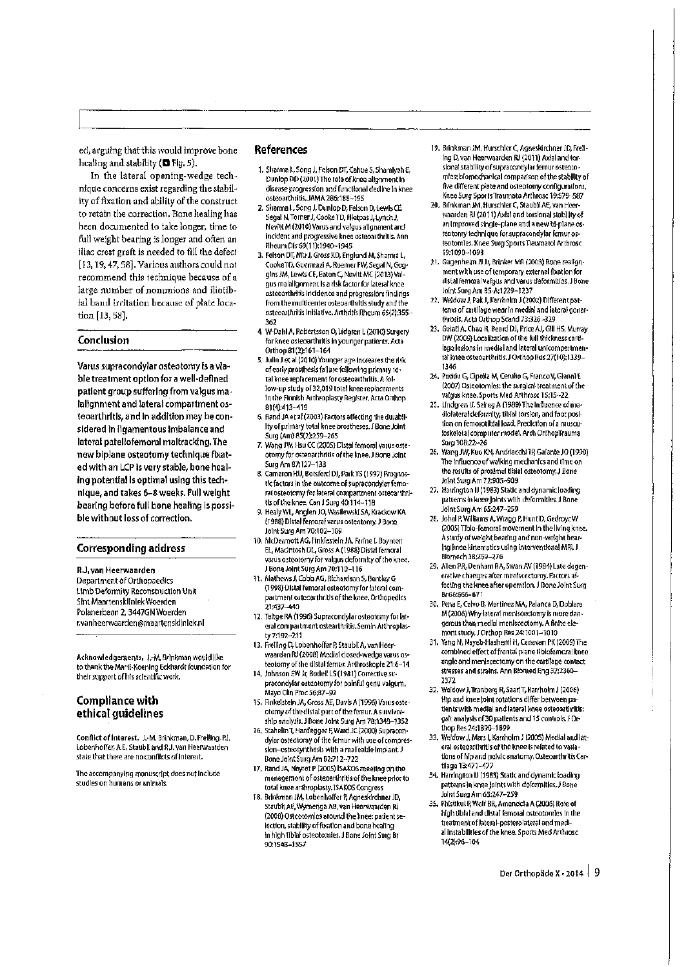ed, arguing that this would improve bone healing and stability  $(\Box$  Fig. 5).

In the lateral opening-wedge technique concerns exist regarding the stability of fixation and ability of the construct to retain the correction. Bone healing has been documented to take longer, time to full weight bearing is longer and often an iliac crest graft is needed to fill the defect (13,19,47,58], Various authors could not recommend this technique because of a large number of nonunions and iliotibial band irritation because of plate location [13,58],

#### **Conclusion**

**Varus supracondylar osteotomy Is a viable treatment option for a well-defined patient group suffering from valgus malalignment and lateral compartment osteoarthritis, and in addition may be considered In ligamentous imbalance and lateral patellofemoral maltracking, The new biplane osteotomy technique fixated with an LCP Is very stable, bone healing potential Is optimal using this technique, and takes** 6-8 **weeks. Full weight bearing before full bone healing Is possible without loss of correction.** 

#### **Corresponding address**

#### R.J. van Heerwaarden

Department of Orthopaedics Limb Deformity Reconstruction Unit Sint Maartenskliniek Woerden Polanerbaan 2,3447GN Woerden r,vanheerwaarden@maartenskllnlek,nl

**Acknowledgements, J,-M, Brinkman would like to thank the Martl-Koening Eckhardt foundation for their support of his scientific work.** 

## **Compliance with ethical guidelines**

**Conflict of Interest. J.-M. Brinkman, D. Frelling, P,l, Lobenhoffer, A.E, Staubli and RJ.van Heerwaarden state that there are no conflicts of Interest.** 

**The accompanying manuscript does not Include studies on humans or animals.** 

#### **References**

- **1, Sharma L, Song J , Felson DT, Cahue S, Shamlyeh E, Dunlop DD (200I)The role of knee alignment In disease progression and functional decline In knee osteoarthritis, JAMA 286:188-195**
- **2, Shamia L, Song J , Dunlop D, Felson D, Lewis CE, Segal N,Tomer J , Cooke TD, Hletpas J , Lynch J , Nevitt M (2010) Varus and valgus alignment and Incident and progressive knee osteoarthtltis, Ann Rheum DIs 69(11);! 940-1945**
- **3, Felson DT, Nlu J, Gross KD, Englund M, Sharma L, CookeTD, Guermazl A, Roemer FW, Segal N, Gogglns JM, Lewis CE, Eaton C, Nevitt MC (2013) Valgus malalignment Is a risk factor for lateral knee osteoarthritis Incidence and progression: findings from the multicenter osteoarthritis studyand the osteoarthritis initiative. Arthritis Rheum 65(2);355- 362**
- **4, W-Dahl A, Robertsson 0, Lidgren L (2010) Surgery for knee osteoarthritis In younger patients. Acta Orthop81(2):161-164**
- **5, Julln J et al (2010) Younger age Increases the risk of early prosthesis failure following primary total knee replacement for osteoarthritis. A follow-up study of 32,019 total knee replacements In the Finnish Arthroplasty Register. Acta Orthop 81(4):413-419**
- **6, Rand JA et al (2003) Factors affecting the durability of primary total knee prostheses. J Bone Joint Surg(Am)85(2);259-265**
- **7, Wang JW, Hsu CC (2005) Distal femoral varus osteotomy for osteoarthritis of the knee, J Bone Joint Surg Am 87:127-133**
- **8, Cameron HU, Botsford DJ, ParkYS (1997) Prognostic factors In the outcome of supracondylar femoral osteotomy for lateral compartment osteoarthritis ofthe knee. Can J Surg 40:114-118**
- **9, Healy WL, Anglen JO, Wasilewski SA, Krackow KA (1988) Distal femoral varus osteotomy, J Bone Joint Surg Am 70:102-109**
- 10, McDermott AG, Finklestein JA, Farine I, Boynton **EL, Macintosh DL, Gross A (1988) Distal femoral varus osteotomy for valgus deformity ofthe knee, J Bone Joint Surg Am 70:110-n 6**
- **11, Mathews J , Cobb AG, Richardson S, Bentley G (1998) Distal femoral osteotomy for lateral compartment osteoarthdtis of the knee. Orthopedics 21:437-440**
- **12, Teitge RA (1996) Supracondylar osteotomy for lat**eral compartment ostearthritis. Semin Arthroplas**ty 7:192-211**
- **13, Freiling D, Lobenhoffer P, Staubli A, van Heerwaarden RJ (2008) Medial closed-wedge varus osteotomy of the distal femur, Arthroskopie 21 ;6-14**
- **14, Johnson EW Jr, Bodell LS (1981) Corrective supracondylar osteotomy for painful genu valgum. Mayo Clin Proc 56:87-92**
- **15, Finkelstein JA, Gross AE, Davis A (1996) Varus osteotomy ofthe distal part ofthe femur, A survivorship analysis, J Bone Joint Surg Am 78:1348-1352**
- 16, Stahelin T, Hardegger F, Ward JC (2000) Supracondylar osteotomy of the femur with use of compres**slon-osteosynthesls with a malleable Implant, J Bone JolntSurg Am 82:712-722**
- **17, Rand JA, Neyret P (2005) ISAKOS meeting on the management of osteoarthritis of (he knee prior to total knee arthroplasty ISAKOS Congress**
- **18, Brinkman JM, Lobenhoffer P, Agneskirchner JD, Staubli AE, Wymenga AB, van Heerwaarden RJ (2008) Osteotomies around the knee: patient selection, stability of fixation and bone healing In high tibial osteotomies. J Bone Joint Surg Br 90:1548-1557**
- **19. Brinkman JM, Hurschler C, Agneskirchner JD, Frelling D, van Heerwaarden RJ (2011) Axial and torsional stability of supracondylar femur osteotomies: biomechanical comparison of thestabllltyof five different plate and osteotomy configurations. Knee Surg Sports Traumato Arthrose 19:579-587**
- **20. Brinkman JM, Hurschler C, Staubli AE, van Heerwaarden RJ (2011) Axial and torsional stability of an Improved single-plane and a new bl-plane osteotomy technique for supracondylar femur osteotomies. Knee Surg SportsTraumatol Arthrose 19:1090-1098**
- **21. Gugenhelm JJ Jr, Brinker MR (2003) Bone reallgnmentwlth use of temporary external fixation for distal femoral valgus and varus deformities. J Bone Joint Surg Am B5-A:1229-1237**
- **22. Weldow J, Pak J , Karrholm J (2002) Different patterns of cartilage wear In medial and lateral gonarthrosls. Acta Orthop Scand 73:326-329**
- **23. Gulatl A, Chau R, Beard DJ, Price AJ, GUI HS, Murray DW (2009) Localization of the full thickness cartilage lesions In medial and lateral unicompartmental knee osteoarthritis. J Orthop Res 27(10):1339- 1346**
- **24. Puddu G, Cipolla M, Cerullo G, Franco V, Gianni E (2007) Osteotomies: the surgical treatmentof the valgus knee. Sports Med Arthrose 15:15-22**
- **25. LIndgren U,SelregA (1989)TheInfluence ofmedlolateral deformity, tibial torsion, and foot position on femorotibial load. Prediction of a musculoskeletal computer modeL Arch OrthopTrauma Surg 108:22-26**
- **26. Wang JW, Kuo KN, AndrlacchI TP, Galante JO (1990) The Influence of walking mechanics and time on the results of proximal tibial osteotomy, J Bone Joint Surg Am 72:905-909**
- **27. Harrington IJ (1983) Static and dynamic loading patterns In kneejolntswith deformltles.J Bone Joint Surg Am 65:247-259**
- **28. Johal P, Williams A, Wragg P, Hunt D, Gedroyc W (2005)Tlblo-femoral movement In the living knee. A study of weight bearing and non-weight bearing knee kinematics using Interventional MRI. J Biomech 38:269-276**
- **29. Allen PR, Denham RA, Swan AV (1984) Late degenerative changes after meniscectomy. Factors af**fecting the knee after operation, J Bone Joint Surg **Br 66:666-671**
- **30. Pena E, Calvo B, Martinez MA, Palanca D, Doblare M (2006) Why lateral meniscectomy Is more dangerous than medial meniscectomy A finite element study, J Orthop Res 24:1001-1010**
- **31. Yang N, Nayeb-HashemI H, Canavan PK (2009)The combined effect of frontal plane tibiofemoral knee angle and meniscectomy on the cartilage contact stresses and strains. Ann Biomed Eng 372360- 2372**
- **32. WeldowJ,TranbergR,SaarlT,KarrholmJ(2006) Hip and kneejoint rotations differ between patients with medial and lateral knee osteoarthritis: gait analysis of 30 patients and 15 controls. J Orthop Res 24:1890-1899**
- **33. Weldow J , Mars I, Karrholm J (2005) Medial and lateral osteoarthritis ofthe knee Is related to variations of hip and pelvic anatomy Osteoarthritis Cartilage 13:471-477**
- **34. Harrington IJ (1983) Static and dynamic loading patterns In knee Joints with deformltles.J Bone Joint Surg Am 65:247-259**
- **35. Phlsitkul P, Wolf BR, Amendola A (2006) Role of high tibial and distal femoral osteotomies In Ihe treatment of lateral-posterolateral and medial Instabilities of the knee. Sports Med Arthrose 14(2);96-104**